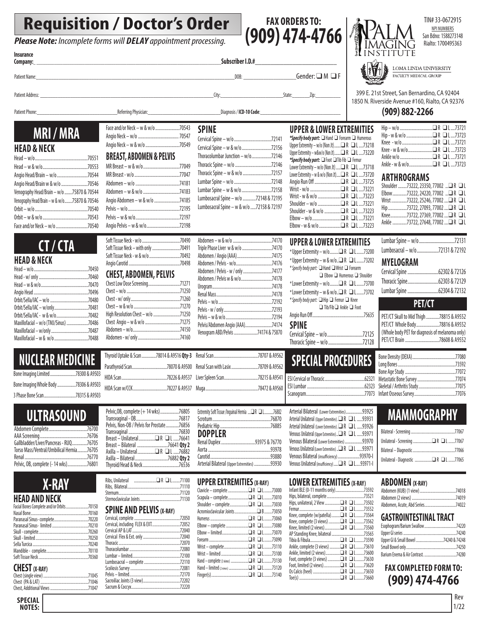# **Requisition / Doctor's Order**

**Please Note:** Incomplete forms will **DELAY** appointment processing.





TIN# 33-0672915 NPI NUMBERS San Bdno: 1588273148 Rialto: 1700495363

LOMA LINDA UNIVERSITY FACULTY MEDICAL GROUP

399 E. 21st Street, San Bernardino, CA 92404 Avenue #160, Rialto, CA 92376

#### **(909) 882-2266**

| Hip – w/o □ R □ L 73721            |  |
|------------------------------------|--|
| Hip - w & w/o □ R □ L 73723        |  |
|                                    |  |
| Knee - w & w/o      □ R □ L  73723 |  |
|                                    |  |
|                                    |  |

#### **ARTHROGRAMS**

|  | Shoulder 73222, 23350, 77002 □R □L |  |
|--|------------------------------------|--|
|  | Elbow73222, 24220, 77002 □R □L     |  |
|  | Wrist 73222. 25246. 77002 □R □L    |  |
|  | Hip73722, 27093, 77002 □R □L       |  |
|  | Knee73722, 27369, 77002 □R □L      |  |
|  | Ankle 73722. 27648. 77002 □R □L    |  |
|  |                                    |  |

| Lumbar Spine — w/o 72131       |  |
|--------------------------------|--|
| Lumbosacral - w/o72131 & 72192 |  |
| MYELOGRAM                      |  |

| Cervical Spine 62302 & 72126 |  |
|------------------------------|--|
| Thoracic Spine62303 & 72129  |  |
| Lumbar Spine 62304 & 72132   |  |

#### **PET/CT**

| PET/CT Skull to Mid Thigh 78815 & A9552 |
|-----------------------------------------|
|                                         |
|                                         |
|                                         |
|                                         |

# **ULTRASOUND**

**NUCLEAR MEDICINE** Bone Imaging Limited.........................78300 & A9503 Bone Imaging Whole Body..................78306 & A9503 3 Phase Bone Scan...............................78315 & A9503

**MRI / MRA**

Head – w/o................................................70551  $\text{Head} = w \& w/o.$ Angio Head/Brain – w/o............................70544 Angio Head/Brain w & w/o........................70546 Venography Head/Brain – w/o.......75870 & 70544 Venography Head/Brain – w & w/o.......75870 & 70546 Orbit – w/o................................................70540 Orbit – w & w/o.........................................70543 Face and/or Neck – w/o.............................70540

**CT / CTA**

Head – w/o.....................................................70450 Head - w/ only................................................70460 Head – w & w/o..............................................70470 Angio Head.....................................................70496 Orbit/Sella/IAC – w/o .....................................70480 Orbit/Sella/IAC – w/only.................................70481 Orbit/Sella/IAC - w & w/o...............................70482 Maxillofacial – w/o (TMJ/Sinus) ................ Maxillofacial – w/only....................................70487

**HEAD & NECK**

**Insurance**

**HEAD & NECK**

Maxillofacial – w &  $w$ /o....

| Gallbladder/Liver/Pancreas - RUQ76705    |  |
|------------------------------------------|--|
| Torso Mass/Ventral/Umbilical Hernia76705 |  |
|                                          |  |
| Pelvic, 0B, complete (- 14 wks)76801     |  |
|                                          |  |

# **X-RAY**

## **HEAD AND NECK**

| Facial Bones Complete and/or Orbits70150 |  |
|------------------------------------------|--|
|                                          |  |
|                                          |  |
|                                          |  |
|                                          |  |
|                                          |  |
|                                          |  |
|                                          |  |
|                                          |  |
|                                          |  |

#### **CHEST (X-RAY)**

| ----- <i>-</i> - |  |
|------------------|--|
|                  |  |
|                  |  |
|                  |  |

Angio Neck – w & w/o...............................70549 **BREAST, ABDOMEN & PELVIS** MR Breast – w & w/o.................................77049 MR Breast - w/o.........................................77047 Abdomen – w/o........................................74181 Abdomen – w & w/o.................................74183

Face and/or Neck – w & w/o......................70543 Angio Neck – w/o..................................... 70547

Patient Phone: Computer Computer Physician: Computer Physician: Computer Physician: COMPUS Diagnosis / ICD-10 Code:

Patient Name:\_\_\_\_\_\_\_\_\_\_\_\_\_\_\_\_\_\_\_\_\_\_\_\_\_\_\_\_\_\_\_\_\_\_\_\_\_\_\_\_\_\_\_\_\_\_\_\_\_\_\_\_\_\_\_\_\_\_\_\_\_\_\_\_\_\_\_\_\_\_\_\_\_\_\_\_\_\_\_DOB: \_\_\_\_\_\_\_\_\_\_\_\_\_\_\_\_\_\_\_\_\_Gender: q M q F

Patient Address: \_\_\_\_\_\_\_\_\_\_\_\_\_\_\_\_\_\_\_\_\_\_\_\_\_\_\_\_\_\_\_\_\_\_\_\_\_\_\_\_\_\_\_\_\_\_\_\_\_\_\_\_\_\_\_\_\_\_\_\_\_\_\_\_\_\_\_\_\_City:\_\_\_\_\_\_\_\_\_\_\_\_\_\_\_\_\_\_\_\_\_\_\_\_\_State:\_\_\_\_\_\_\_Zip:\_\_\_\_\_\_\_\_\_\_

| Angio Abdomen - w & w/o 74185 |  |
|-------------------------------|--|
|                               |  |
|                               |  |
| Angio Pelvis - w & w/o72198   |  |

#### **CHEST, ABDOMEN, PELVIS**

| Chest Low Dose Screening71271     |  |
|-----------------------------------|--|
|                                   |  |
|                                   |  |
|                                   |  |
| High Resolution Chest - w/o 71250 |  |
|                                   |  |
|                                   |  |
|                                   |  |
|                                   |  |

Pelvic,OB, complete (+ 14 wks).................76805 Transvaginal - OB.......................................76817 Pelvis, Non-OB / Pelvis for Prostate... Transvaginal ..............................................76830

Breast – Bilateral ............................76641 **Qty 2**

Ribs, Unilateral .......................q R q L........71100 Ribs, Bilateral......................................................71110 Sternum...............................................................71120

Thoracolumbar ....................................................72080

Lumbosacral – complete.....................................72110 Scoliosis Survey...................................................72081 Pelvis – limited....................................................72170

Sacrum & Coccyx..................................................72220

**SPINE AND PELVIS (X-RAY)** Cervical, complete...............................................72050 Cervical, including FLEX & EXT.............................72052 Cervical AP & LAT.................................................72040 Cervical Flex & Ext. only......................................72040

Axilla – Unilateral............<br>Axilla – Rilateral

Thyroid/Head & Neck......

Sternoclavicular Joints.............

Thoracic.....

 $Lumbar - limited.$ 

Sacroiliac Joints (3 view)....

Breast – Unilateral...............q R q L .....76641

**4 x................76882 Qty............**<br>.76536...............................

| Abdomen / Pelvis w & w/o74178     |  |
|-----------------------------------|--|
|                                   |  |
|                                   |  |
|                                   |  |
|                                   |  |
|                                   |  |
| Pelvis/Abdomen Angio (AAA)74174   |  |
| Venogram ABD/Pelvis 74174 & 75870 |  |
|                                   |  |

#### Thyroid Uptake & Scan ..............78014 & A9516 **Qty-3** Parathyroid Scan..................................78070 & A9500 Renal Scan with Lasix..........................78709 & A9562 HIDA Scan............................................78226 & A9537 Liver Spleen Scan.................................78215 & A9541 HIDA Scan w/CCK.................................78227 & A9537 .......78707 & A9562 Muga...................................................78472 & A9560

| Extremity Soft Tissue /Inquinal Hernia □ R □ L76882 |  |
|-----------------------------------------------------|--|
|                                                     |  |
|                                                     |  |
| <b>DOPPLER</b>                                      |  |
| Renal Duplex 93975 & 76770                          |  |
|                                                     |  |
|                                                     |  |
| Arterial Bilateral (Upper Extremities) 93930        |  |

#### **UPPER EXTREMITIES (X-RAY)**

| Scapula - complete□ R □ L73010 |  |  |
|--------------------------------|--|--|
|                                |  |  |
|                                |  |  |
|                                |  |  |
| Elbow - complete □ R □ L73080  |  |  |
|                                |  |  |
|                                |  |  |
|                                |  |  |
|                                |  |  |
|                                |  |  |
|                                |  |  |
|                                |  |  |
|                                |  |  |

| Arterial Bilateral (Lower Extremities)93925<br>Arterial Unilateral (Upper Extremities) .■ R ■ L 93931                                                                 |  |
|-----------------------------------------------------------------------------------------------------------------------------------------------------------------------|--|
| Arterial Unilateral (Lower Extremities) . <sup>1</sup> R 1 93926<br>Venous Unilateral (Upper Extremities) ■ R ■ L 93971<br>Venous Bilateral (Lower Extremities) 93970 |  |
| Venous Unilateral (Lower Extremities) ■ R ■ L 93971<br>Venous Bilateral (insufficiency) 93970-1<br>Venous Unilateral (insufficiency)□ R □ L93971-1                    |  |

#### **TIES (X-RAY)**

| Infant BLE (0-11 months only)73592        |  |
|-------------------------------------------|--|
|                                           |  |
| Hips, unilateral, 2 View □ R □ L 73502    |  |
|                                           |  |
| Knee, complete (w/patella) □ R □ L 73564  |  |
| Knee, complete (3 views) □ R □ L73562     |  |
| Knee, limited (2 views)□ R   □ L 73560    |  |
|                                           |  |
|                                           |  |
| Ankle, complete (3 views) □ R   □ L 73610 |  |
| Ankle, limited (2 views)□ R   □ L 73600   |  |
| Foot, complete (3 views) □ R   □ L 73630  |  |
| Foot, limited (2 views)□ R   □ L73620     |  |
| Os Calcis (heel) □ R   □ L 73650          |  |
|                                           |  |
|                                           |  |

# **MAMMOGRAPHY**

| Unilateral - Screening □ R □ L 77067  |  |
|---------------------------------------|--|
|                                       |  |
| Unilateral - Diagnostic □ R □ L 77065 |  |

#### **ABDOMEN (X-RAY)**

| Abdomen, Acute, Abd Series74022 |
|---------------------------------|
|                                 |

#### **GASTROINTESTINAL TRACT**

| Upper GI & Small Bowel 74240 & 74248 |  |
|--------------------------------------|--|
|                                      |  |
|                                      |  |
|                                      |  |

#### **FAX COMPLETED FORM TO: (909) 474-4766**

Chest, Additional Views .......................................71047

|  | SPECIAL |
|--|---------|
|  | NOTES:  |

|                                      | 1850 N. Riverside |                           |
|--------------------------------------|-------------------|---------------------------|
|                                      |                   | (90)                      |
| <b>UPPER &amp; LOWER EXTREMITIES</b> |                   | $\mathsf{Hip}-\mathsf{v}$ |

| <b>SPINE</b>                              |  |
|-------------------------------------------|--|
|                                           |  |
| Cervical Spine - w & w/o 72156            |  |
| Thoracolumbar Junction - w/o72146         |  |
|                                           |  |
| Thoracic Spine - w & w/o 72157            |  |
|                                           |  |
| Lumbar Spine - w & w/o 72158              |  |
| Lumbosacral Spine - w/o 72148 & 72195     |  |
| Lumbosacral Spine - w & w/o 72158 & 72197 |  |
|                                           |  |

 $\_Subscripter$  I.D.#

| Triple Phase Liver w & w/o 74170  |  |
|-----------------------------------|--|
|                                   |  |
|                                   |  |
| Abdomen / Pelvis - w / only 74177 |  |
| Abdomen / Pelvis w & w/o74178     |  |
|                                   |  |
|                                   |  |
|                                   |  |
|                                   |  |
|                                   |  |
| Pelvis/Abdomen Angio (AAA)74174   |  |

## Upper Extremity – w/o (Non Jt)...... $\Box$  R  $\Box$  L....73218

| Upper Extremity – w&w/o (Non Jt) $\Box R \Box L$ 73220 |  |
|--------------------------------------------------------|--|
| *Specify body part: I Foot I Tib Fib I Femur           |  |
| Lower Extremity - w/o (Non Jt) □ R □ L 73718           |  |
| Lower Extremity – w & w/o (Non Jt)□ R □ L 73720        |  |
| Angio Run Off □ R □ L 73725                            |  |
| Wrist - w/o □ R □ L73221                               |  |
|                                                        |  |
|                                                        |  |
|                                                        |  |
| Elbow - w/o□ R □ L73221                                |  |
|                                                        |  |
|                                                        |  |

\*Specify body part: Hand **Q** Forearm **Q** Humerous

## **UPPER & LOWER EXTREMITIES**

 $*$  Upper Extremity – w/o........ $\Box$  R  $\Box$  L.......73200 \* Upper Extremity – w & w/o.. $\Box$  R  $\Box$  L.......73202 \* Specify body part:  $\Box$  Hand  $\Box$  Wrist  $\Box$  Forearm  $\Box$  Elbow  $\Box$  Humerous  $\Box$  Shoulder  $*$  Lower Extremity – w/o........ $\Box$  R  $\Box$  L.......73700 \* Lower Extremity – w & w/o.. $\Box$  R  $\Box$  L.......73702 \* Specify body part:  $\Box$  Hip  $\Box$  Femur  $\Box$  Knee  $\Box$  Tib/Fib  $\Box$  Ankle  $\Box$  Foot Angio Run Off..................................................75635

## **SPINE**

Cervical Spine – w/o...............................72125 Thoracic Spine – w/o..............................72128

# **SPECIAL PROCEDURE**

|       | <b>LOWER EXTREMIT</b>         |
|-------|-------------------------------|
| 73000 | Infant BLE (0-11 months only) |

| Knee, complete (3 views) □ R □ L73562 |       |
|---------------------------------------|-------|
|                                       |       |
| AP Standing Knee hilateral            | 73565 |

|                              |  | Uppe  |
|------------------------------|--|-------|
| a…………………………□R □ L………73590    |  | Uppe  |
| lete (3 views) □ R □ L 73610 |  | Smal  |
| d (2 views)□ R   □ L73600    |  | Bariu |
| ete (3 views) 口R □ L 73630   |  |       |
| l (2 views)□ R □ L73620      |  | E     |
|                              |  |       |